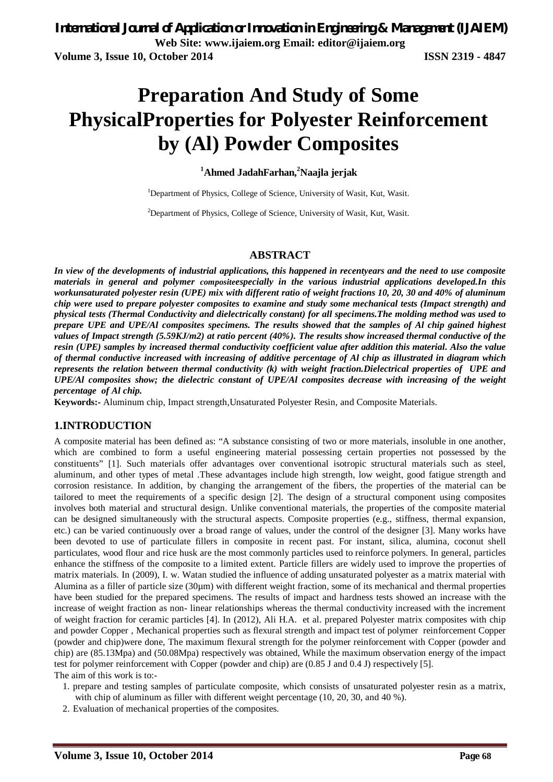# **Preparation And Study of Some PhysicalProperties for Polyester Reinforcement by (Al) Powder Composites**

### **<sup>1</sup>Ahmed JadahFarhan,<sup>2</sup>Naajla jerjak**

<sup>1</sup>Department of Physics, College of Science, University of Wasit, Kut, Wasit.

 $2$ Department of Physics, College of Science, University of Wasit, Kut, Wasit.

### **ABSTRACT**

*In view of the developments of industrial applications, this happened in recentyears and the need to use composite materials in general and polymer compositeespecially in the various industrial applications developed.In this workunsaturated polyester resin (UPE) mix with different ratio of weight fractions 10, 20, 30 and 40% of aluminum chip were used to prepare polyester composites to examine and study some mechanical tests (Impact strength) and physical tests (Thermal Conductivity and dielectrically constant) for all specimens.The molding method was used to prepare UPE and UPE/Al composites specimens. The results showed that the samples of Al chip gained highest values of Impact strength (5.59KJ/m2) at ratio percent (40%). The results show increased thermal conductive of the resin (UPE) samples by increased thermal conductivity coefficient value after addition this material. Also the value of thermal conductive increased with increasing of additive percentage of Al chip as illustrated in diagram which represents the relation between thermal conductivity (k) with weight fraction.Dielectrical properties of UPE and UPE/Al composites show; the dielectric constant of UPE/Al composites decrease with increasing of the weight percentage of Al chip.*

**Keywords:-** Aluminum chip, Impact strength,Unsaturated Polyester Resin, and Composite Materials.

#### **1.INTRODUCTION**

A composite material has been defined as: "A substance consisting of two or more materials, insoluble in one another, which are combined to form a useful engineering material possessing certain properties not possessed by the constituents" [1]. Such materials offer advantages over conventional isotropic structural materials such as steel, aluminum, and other types of metal .These advantages include high strength, low weight, good fatigue strength and corrosion resistance. In addition, by changing the arrangement of the fibers, the properties of the material can be tailored to meet the requirements of a specific design [2]. The design of a structural component using composites involves both material and structural design. Unlike conventional materials, the properties of the composite material can be designed simultaneously with the structural aspects. Composite properties (e.g., stiffness, thermal expansion, etc.) can be varied continuously over a broad range of values, under the control of the designer [3]. Many works have been devoted to use of particulate fillers in composite in recent past. For instant, silica, alumina, coconut shell particulates, wood flour and rice husk are the most commonly particles used to reinforce polymers. In general, particles enhance the stiffness of the composite to a limited extent. Particle fillers are widely used to improve the properties of matrix materials. In (2009), I. w. Watan studied the influence of adding unsaturated polyester as a matrix material with Alumina as a filler of particle size  $(30\mu m)$  with different weight fraction, some of its mechanical and thermal properties have been studied for the prepared specimens. The results of impact and hardness tests showed an increase with the increase of weight fraction as non- linear relationships whereas the thermal conductivity increased with the increment of weight fraction for ceramic particles [4]. In (2012), Ali H.A. et al. prepared Polyester matrix composites with chip and powder Copper , Mechanical properties such as flexural strength and impact test of polymer reinforcement Copper (powder and chip)were done, The maximum flexural strength for the polymer reinforcement with Copper (powder and chip) are (85.13Mpa) and (50.08Mpa) respectively was obtained, While the maximum observation energy of the impact test for polymer reinforcement with Copper (powder and chip) are (0.85 J and 0.4 J) respectively [5]. The aim of this work is to:-

- 1. prepare and testing samples of particulate composite, which consists of unsaturated polyester resin as a matrix, with chip of aluminum as filler with different weight percentage (10, 20, 30, and 40 %).
- 2. Evaluation of mechanical properties of the composites.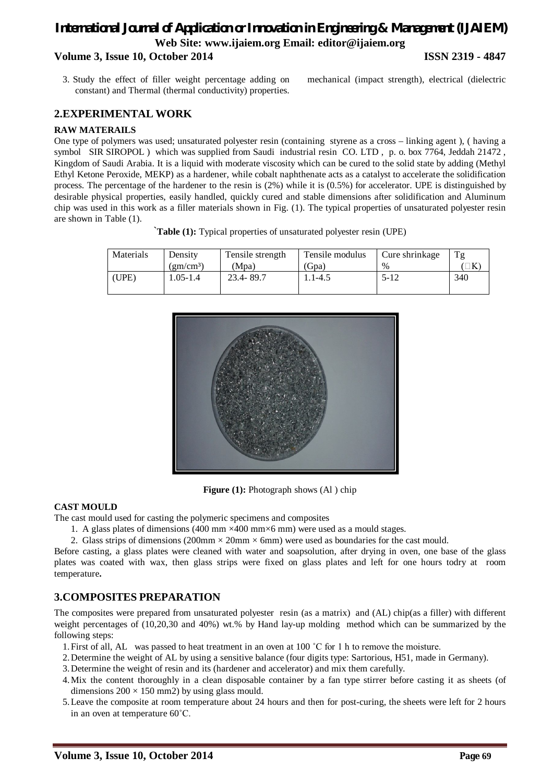### *International Journal of Application or Innovation in Engineering & Management (IJAIEM)* **Web Site: www.ijaiem.org Email: editor@ijaiem.org Volume 3, Issue 10, October 2014 ISSN 2319 - 4847**

3. Study the effect of filler weight percentage adding on mechanical (impact strength), electrical (dielectric constant) and Thermal (thermal conductivity) properties.

### **2.EXPERIMENTAL WORK**

### **RAW MATERAILS**

One type of polymers was used; unsaturated polyester resin (containing styrene as a cross – linking agent ), ( having a symbol SIR SIROPOL) which was supplied from Saudi industrial resin CO. LTD, p. o. box 7764, Jeddah 21472, Kingdom of Saudi Arabia. It is a liquid with moderate viscosity which can be cured to the solid state by adding (Methyl Ethyl Ketone Peroxide, MEKP) as a hardener, while cobalt naphthenate acts as a catalyst to accelerate the solidification process. The percentage of the hardener to the resin is (2%) while it is (0.5%) for accelerator. UPE is distinguished by desirable physical properties, easily handled, quickly cured and stable dimensions after solidification and Aluminum chip was used in this work as a filler materials shown in Fig. (1). The typical properties of unsaturated polyester resin are shown in Table (1).

`**Table (1):** Typical properties of unsaturated polyester resin (UPE)

| Materials | Density         | Tensile strength | Tensile modulus | Cure shrinkage | Tg  |
|-----------|-----------------|------------------|-----------------|----------------|-----|
|           | $\rm (gm/cm^3)$ | (Mpa)            | (Gpa)           | $\%$           |     |
| (UPE)     | $.05 - 1.4$     | 23.4-89.7        | . 1-4.5         | $5 - 12$       | 340 |



**Figure (1):** Photograph shows (Al) chip

### **CAST MOULD**

- The cast mould used for casting the polymeric specimens and composites
	- 1. A glass plates of dimensions (400 mm  $\times$ 400 mm $\times$ 6 mm) were used as a mould stages.

2. Glass strips of dimensions (200mm  $\times$  20mm  $\times$  6mm) were used as boundaries for the cast mould.

Before casting, a glass plates were cleaned with water and soapsolution, after drying in oven, one base of the glass plates was coated with wax, then glass strips were fixed on glass plates and left for one hours todry at room temperature**.**

### **3.COMPOSITES PREPARATION**

The composites were prepared from unsaturated polyester resin (as a matrix) and (AL) chip(as a filler) with different weight percentages of (10,20,30 and 40%) wt.% by Hand lay-up molding method which can be summarized by the following steps:

- 1.First of all, AL was passed to heat treatment in an oven at 100 ˚C for 1 h to remove the moisture.
- 2.Determine the weight of AL by using a sensitive balance (four digits type: Sartorious, H51, made in Germany).
- 3.Determine the weight of resin and its (hardener and accelerator) and mix them carefully.
- 4.Mix the content thoroughly in a clean disposable container by a fan type stirrer before casting it as sheets (of dimensions  $200 \times 150$  mm2) by using glass mould.
- 5.Leave the composite at room temperature about 24 hours and then for post-curing, the sheets were left for 2 hours in an oven at temperature 60˚C.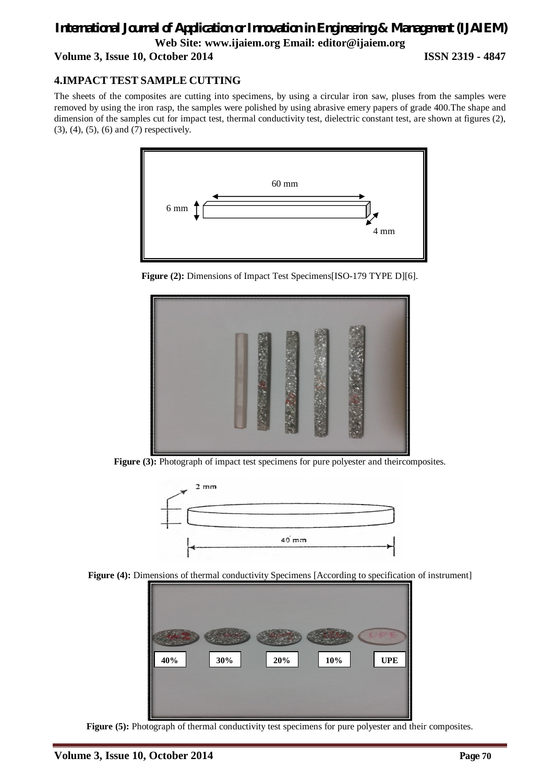### *International Journal of Application or Innovation in Engineering & Management (IJAIEM)* **Web Site: www.ijaiem.org Email: editor@ijaiem.org Volume 3, Issue 10, October 2014 ISSN 2319 - 4847**

### **4.IMPACT TEST SAMPLE CUTTING**

The sheets of the composites are cutting into specimens, by using a circular iron saw, pluses from the samples were removed by using the iron rasp, the samples were polished by using abrasive emery papers of grade 400.The shape and dimension of the samples cut for impact test, thermal conductivity test, dielectric constant test, are shown at figures (2), (3), (4), (5), (6) and (7) respectively.







**Figure (3):** Photograph of impact test specimens for pure polyester and theircomposites.



Figure (4): Dimensions of thermal conductivity Specimens [According to specification of instrument]



Figure (5): Photograph of thermal conductivity test specimens for pure polyester and their composites.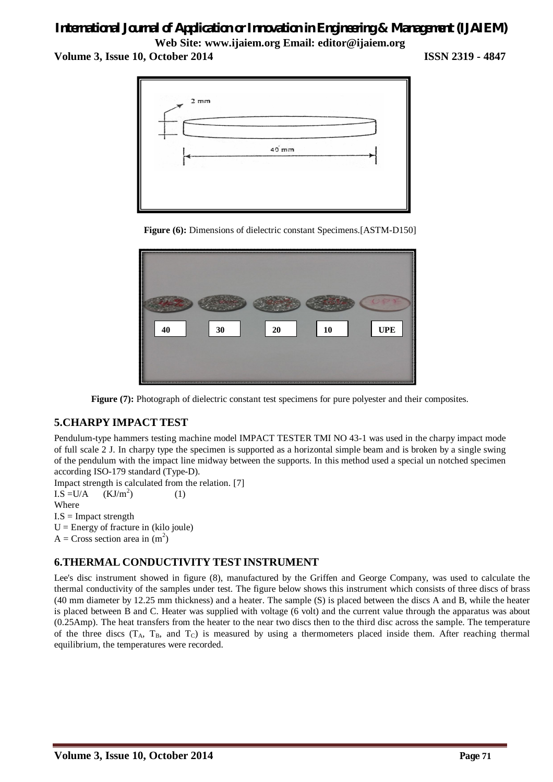# *International Journal of Application or Innovation in Engineering & Management (IJAIEM)*

**Web Site: www.ijaiem.org Email: editor@ijaiem.org Volume 3, Issue 10, October 2014 ISSN 2319 - 4847**



**Figure (6):** Dimensions of dielectric constant Specimens.[ASTM-D150]



**Figure (7):** Photograph of dielectric constant test specimens for pure polyester and their composites.

### **5.CHARPY IMPACT TEST**

Pendulum-type hammers testing machine model IMPACT TESTER TMI NO 43-1 was used in the charpy impact mode of full scale 2 J. In charpy type the specimen is supported as a horizontal simple beam and is broken by a single swing of the pendulum with the impact line midway between the supports. In this method used a special un notched specimen according ISO-179 standard (Type-D).

Impact strength is calculated from the relation. [7]

 $I.S = U/A$  (KJ/m<sup>2</sup>) ) (1) Where  $I.S =$ Impact strength

 $U =$  Energy of fracture in (kilo joule)

 $A = Cross section area in (m<sup>2</sup>)$ 

### **6.THERMAL CONDUCTIVITY TEST INSTRUMENT**

Lee's disc instrument showed in figure (8), manufactured by the Griffen and George Company, was used to calculate the thermal conductivity of the samples under test. The figure below shows this instrument which consists of three discs of brass (40 mm diameter by 12.25 mm thickness) and a heater. The sample (S) is placed between the discs A and B, while the heater is placed between B and C. Heater was supplied with voltage (6 volt) and the current value through the apparatus was about (0.25Amp). The heat transfers from the heater to the near two discs then to the third disc across the sample. The temperature of the three discs  $(T_A, T_B,$  and  $T_C)$  is measured by using a thermometers placed inside them. After reaching thermal equilibrium, the temperatures were recorded.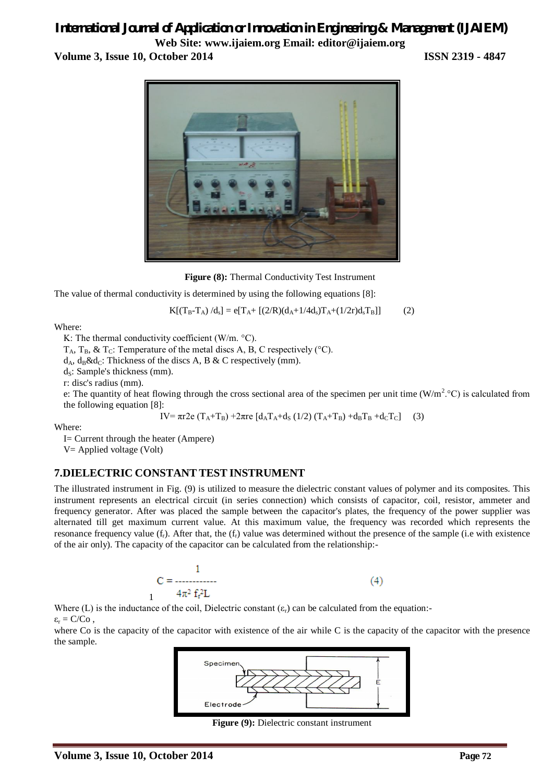## *International Journal of Application or Innovation in Engineering & Management (IJAIEM)*

**Web Site: www.ijaiem.org Email: editor@ijaiem.org Volume 3, Issue 10, October 2014 ISSN 2319 - 4847**



**Figure (8):** Thermal Conductivity Test Instrument

The value of thermal conductivity is determined by using the following equations [8]:

$$
K[(T_B - T_A) / d_s] = e[T_A + [(2/R)(d_A + 1/4d_s)T_A + (1/2r)d_sT_B]]
$$
 (2)

Where:

K: The thermal conductivity coefficient (W/m. °С).

 $T_A$ ,  $T_B$ , &  $T_C$ : Temperature of the metal discs A, B, C respectively (°C).

 $d_A$ ,  $d_B \& d_C$ : Thickness of the discs A, B & C respectively (mm).

 $d_s$ : Sample's thickness (mm).

r: disc's radius (mm).

e: The quantity of heat flowing through the cross sectional area of the specimen per unit time  $(W/m^2$  °C) is calculated from the following equation [8]:

IV=  $\pi r$ 2e (T<sub>A</sub>+T<sub>B</sub>) +2πre [d<sub>A</sub>T<sub>A</sub>+d<sub>S</sub> (1/2) (T<sub>A</sub>+T<sub>B</sub>) +d<sub>B</sub>T<sub>B</sub> +d<sub>C</sub>T<sub>C</sub>] (3)

Where:

I= Current through the heater (Ampere) V= Applied voltage (Volt)

### **7.DIELECTRIC CONSTANT TEST INSTRUMENT**

The illustrated instrument in Fig. (9) is utilized to measure the dielectric constant values of polymer and its composites. This instrument represents an electrical circuit (in series connection) which consists of capacitor, coil, resistor, ammeter and frequency generator. After was placed the sample between the capacitor's plates, the frequency of the power supplier was alternated till get maximum current value. At this maximum value, the frequency was recorded which represents the resonance frequency value  $(f_r)$ . After that, the  $(f_r)$  value was determined without the presence of the sample (i.e with existence of the air only). The capacity of the capacitor can be calculated from the relationship:-

$$
C = \frac{1}{4\pi^2 f_r^2 L}
$$
 (4)

Where (L) is the inductance of the coil, Dielectric constant  $(\varepsilon_r)$  can be calculated from the equation:- $\varepsilon_r = C/Co$ .

where Co is the capacity of the capacitor with existence of the air while C is the capacity of the capacitor with the presence the sample.



**Figure (9):** Dielectric constant instrument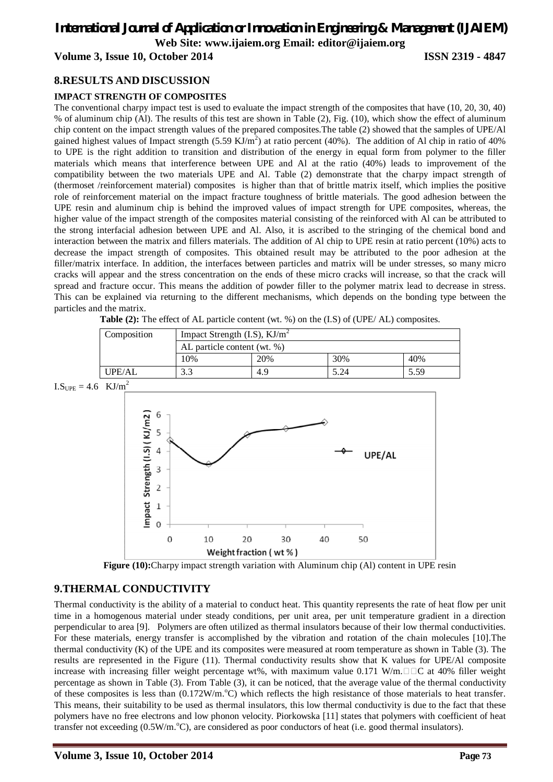### *International Journal of Application or Innovation in Engineering & Management (IJAIEM)*

**Web Site: www.ijaiem.org Email: editor@ijaiem.org**

### **Volume 3, Issue 10, October 2014 ISSN 2319 - 4847**

### **8.RESULTS AND DISCUSSION**

### **IMPACT STRENGTH OF COMPOSITES**

The conventional charpy impact test is used to evaluate the impact strength of the composites that have (10, 20, 30, 40) % of aluminum chip (Al). The results of this test are shown in Table (2), Fig. (10), which show the effect of aluminum chip content on the impact strength values of the prepared composites.The table (2) showed that the samples of UPE/Al gained highest values of Impact strength  $(5.59 \text{ KJ/m}^2)$  at ratio percent (40%). The addition of Al chip in ratio of 40% to UPE is the right addition to transition and distribution of the energy in equal form from polymer to the filler materials which means that interference between UPE and Al at the ratio (40%) leads to improvement of the compatibility between the two materials UPE and Al. Table (2) demonstrate that the charpy impact strength of (thermoset /reinforcement material) composites is higher than that of brittle matrix itself, which implies the positive role of reinforcement material on the impact fracture toughness of brittle materials. The good adhesion between the UPE resin and aluminum chip is behind the improved values of impact strength for UPE composites, whereas, the higher value of the impact strength of the composites material consisting of the reinforced with Al can be attributed to the strong interfacial adhesion between UPE and Al. Also, it is ascribed to the stringing of the chemical bond and interaction between the matrix and fillers materials. The addition of Al chip to UPE resin at ratio percent (10%) acts to decrease the impact strength of composites. This obtained result may be attributed to the poor adhesion at the filler/matrix interface. In addition, the interfaces between particles and matrix will be under stresses, so many micro cracks will appear and the stress concentration on the ends of these micro cracks will increase, so that the crack will spread and fracture occur. This means the addition of powder filler to the polymer matrix lead to decrease in stress. This can be explained via returning to the different mechanisms, which depends on the bonding type between the particles and the matrix.

**Table (2):** The effect of AL particle content (wt. %) on the (I.S) of (UPE/ AL) composites.

| Composition | Impact Strength $(I.S)$ , $KJ/m2$ |     |      |      |
|-------------|-----------------------------------|-----|------|------|
|             | AL particle content (wt. %)       |     |      |      |
|             | 10%                               | 20% | 30%  | 40%  |
| UPE/AL      | 3.3                               | 4.9 | 5.24 | 5.59 |





### **9.THERMAL CONDUCTIVITY**

Thermal conductivity is the ability of a material to conduct heat. This quantity represents the rate of heat flow per unit time in a homogenous material under steady conditions, per unit area, per unit temperature gradient in a direction perpendicular to area [9]. Polymers are often utilized as thermal insulators because of their low thermal conductivities. For these materials, energy transfer is accomplished by the vibration and rotation of the chain molecules [10].The thermal conductivity (K) of the UPE and its composites were measured at room temperature as shown in Table (3). The results are represented in the Figure (11). Thermal conductivity results show that K values for UPE/Al composite increase with increasing filler weight percentage wt%, with maximum value 0.171 W/m. $\square \square C$  at 40% filler weight percentage as shown in Table (3). From Table (3), it can be noticed, that the average value of the thermal conductivity of these composites is less than  $(0.172W/m<sup>o</sup>C)$  which reflects the high resistance of those materials to heat transfer. This means, their suitability to be used as thermal insulators, this low thermal conductivity is due to the fact that these polymers have no free electrons and low phonon velocity. Piorkowska [11] states that polymers with coefficient of heat transfer not exceeding  $(0.5W/m^{\circ}C)$ , are considered as poor conductors of heat (i.e. good thermal insulators).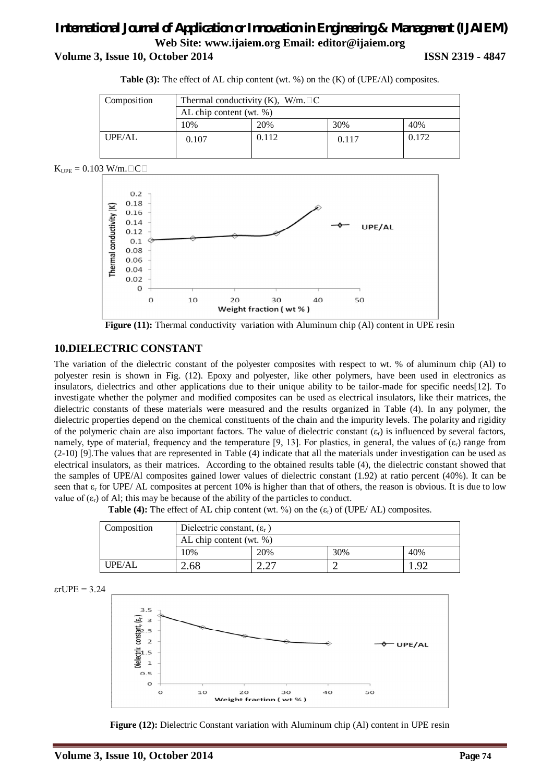### *International Journal of Application or Innovation in Engineering & Management (IJAIEM)* **Web Site: www.ijaiem.org Email: editor@ijaiem.org Volume 3, Issue 10, October 2014**

|  |  | <b>ISSN 2319 - 4847</b> |
|--|--|-------------------------|
|--|--|-------------------------|

| Composition   | Thermal conductivity (K), W/m. $\Box$ C<br>AL chip content (wt. %) |       |       |       |
|---------------|--------------------------------------------------------------------|-------|-------|-------|
|               |                                                                    |       |       |       |
|               | 10%                                                                | 20%   | 30%   | 40%   |
| <b>UPE/AL</b> | 0.107                                                              | 0.112 | 0.117 | 0.172 |

**Table (3):** The effect of AL chip content (wt. %) on the (K) of (UPE/Al) composites.





**Figure (11):** Thermal conductivity variation with Aluminum chip (Al) content in UPE resin

### **10.DIELECTRIC CONSTANT**

The variation of the dielectric constant of the polyester composites with respect to wt. % of aluminum chip (Al) to polyester resin is shown in Fig. (12). Epoxy and polyester, like other polymers, have been used in electronics as insulators, dielectrics and other applications due to their unique ability to be tailor-made for specific needs[12]. To investigate whether the polymer and modified composites can be used as electrical insulators, like their matrices, the dielectric constants of these materials were measured and the results organized in Table (4). In any polymer, the dielectric properties depend on the chemical constituents of the chain and the impurity levels. The polarity and rigidity of the polymeric chain are also important factors. The value of dielectric constant  $(\varepsilon_r)$  is influenced by several factors, namely, type of material, frequency and the temperature [9, 13]. For plastics, in general, the values of  $(\varepsilon_r)$  range from (2-10) [9].The values that are represented in Table (4) indicate that all the materials under investigation can be used as electrical insulators, as their matrices. According to the obtained results table (4), the dielectric constant showed that the samples of UPE/Al composites gained lower values of dielectric constant (1.92) at ratio percent (40%). It can be seen that  $\varepsilon_r$  for UPE/ AL composites at percent 10% is higher than that of others, the reason is obvious. It is due to low value of  $(\varepsilon_r)$  of Al; this may be because of the ability of the particles to conduct.

**Table (4):** The effect of AL chip content (wt. %) on the  $(\varepsilon_r)$  of (UPE/ AL) composites.

| Composition | Dielectric constant, $(\varepsilon_r)$ |     |     |     |
|-------------|----------------------------------------|-----|-----|-----|
|             | AL chip content (wt. $\%$ )            |     |     |     |
|             | 10%                                    | 20% | 30% | 40% |
| UPE/AL      | 2.68                                   |     |     | ി   |

$$
\varepsilon rUPE = 3.24
$$



**Figure (12):** Dielectric Constant variation with Aluminum chip (Al) content in UPE resin